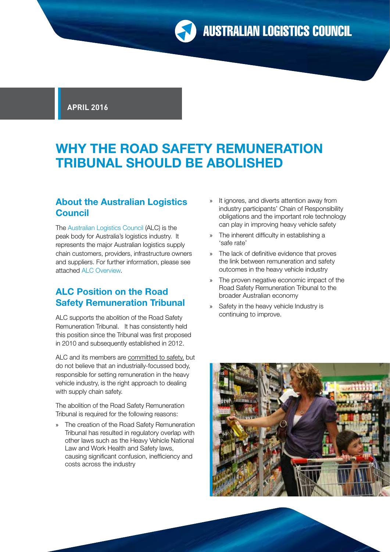**APRIL 2016**

# **WHY THE ROAD SAFETY REMUNERATION TRIBUNAL SHOULD BE ABOLISHED**

# **About the Australian Logistics Council**

The [Australian Logistics Council](http://www.austlogistics.com.au/) (ALC) is the peak body for Australia's logistics industry. It represents the major Australian logistics supply chain customers, providers, infrastructure owners and suppliers. For further information, please see attached [ALC Overview.](http://www.austlogistics.com.au/wp-content/uploads/2016/04/ALC-Overview-April-2016.pdf) 

## **ALC Position on the Road Safety Remuneration Tribunal**

ALC supports the abolition of the Road Safety Remuneration Tribunal. It has consistently held this position since the Tribunal was first proposed in 2010 and subsequently established in 2012.

ALC and its members are committed to safety, but do not believe that an industrially-focussed body, responsible for setting remuneration in the heavy vehicle industry, is the right approach to dealing with supply chain safety.

The abolition of the Road Safety Remuneration Tribunal is required for the following reasons:

» The creation of the Road Safety Remuneration Tribunal has resulted in regulatory overlap with other laws such as the Heavy Vehicle National Law and Work Health and Safety laws, causing significant confusion, inefficiency and costs across the industry

- » It ignores, and diverts attention away from industry participants' Chain of Responsibility obligations and the important role technology can play in improving heavy vehicle safety
- » The inherent difficulty in establishing a 'safe rate'
- » The lack of definitive evidence that proves the link between remuneration and safety outcomes in the heavy vehicle industry
- » The proven negative economic impact of the Road Safety Remuneration Tribunal to the broader Australian economy
- » Safety in the heavy vehicle Industry is continuing to improve.

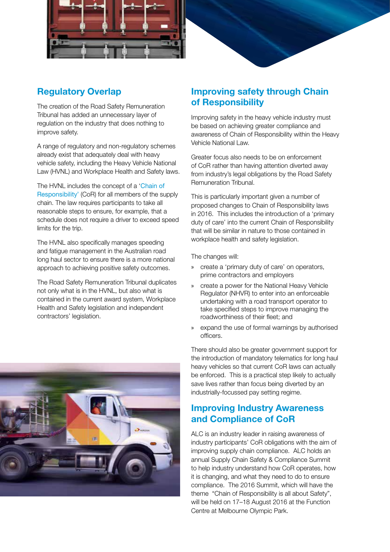

# **Regulatory Overlap**

The creation of the Road Safety Remuneration Tribunal has added an unnecessary layer of regulation on the industry that does nothing to improve safety.

A range of regulatory and non-regulatory schemes already exist that adequately deal with heavy vehicle safety, including the Heavy Vehicle National Law (HVNL) and Workplace Health and Safety laws.

The HVNL includes the concept of a '[Chain of](https://www.nhvr.gov.au/safety-accreditation-compliance/chain-of-responsibility)  [Responsibility'](https://www.nhvr.gov.au/safety-accreditation-compliance/chain-of-responsibility) (CoR) for all members of the supply chain. The law requires participants to take all reasonable steps to ensure, for example, that a schedule does not require a driver to exceed speed limits for the trip.

The HVNL also specifically manages speeding and fatigue management in the Australian road long haul sector to ensure there is a more national approach to achieving positive safety outcomes.

The Road Safety Remuneration Tribunal duplicates not only what is in the HVNL, but also what is contained in the current award system, Workplace Health and Safety legislation and independent contractors' legislation.



# **Improving safety through Chain of Responsibility**

Improving safety in the heavy vehicle industry must be based on achieving greater compliance and awareness of Chain of Responsibility within the Heavy Vehicle National Law.

Greater focus also needs to be on enforcement of CoR rather than having attention diverted away from industry's legal obligations by the Road Safety Remuneration Tribunal.

This is particularly important given a number of proposed changes to Chain of Responsibility laws in 2016. This includes the introduction of a 'primary duty of care' into the current Chain of Responsibility that will be similar in nature to those contained in workplace health and safety legislation.

The changes will:

- » create a 'primary duty of care' on operators, prime contractors and employers
- » create a power for the National Heavy Vehicle Regulator (NHVR) to enter into an enforceable undertaking with a road transport operator to take specified steps to improve managing the roadworthiness of their fleet; and
- » expand the use of formal warnings by authorised officers.

There should also be greater government support for the introduction of mandatory telematics for long haul heavy vehicles so that current CoR laws can actually be enforced. This is a practical step likely to actually save lives rather than focus being diverted by an industrially-focussed pay setting regime.

### **Improving Industry Awareness and Compliance of CoR**

ALC is an industry leader in raising awareness of industry participants' CoR obligations with the aim of improving supply chain compliance. ALC holds an annual Supply Chain Safety & Compliance Summit to help industry understand how CoR operates, how it is changing, and what they need to do to ensure compliance. The 2016 Summit, which will have the theme "Chain of Responsibility is all about Safety", will be held on 17–18 August 2016 at the Function Centre at Melbourne Olympic Park.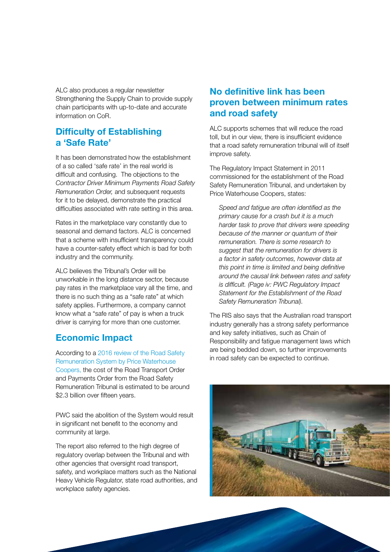ALC also produces a regular newsletter Strengthening the Supply Chain to provide supply chain participants with up-to-date and accurate information on CoR.

#### **Difficulty of Establishing a 'Safe Rate'**

It has been demonstrated how the establishment of a so called 'safe rate' in the real world is difficult and confusing. The objections to the *Contractor Driver Minimum Payments Road Safety Remuneration Order,* and subsequent requests for it to be delayed, demonstrate the practical difficulties associated with rate setting in this area.

Rates in the marketplace vary constantly due to seasonal and demand factors. ALC is concerned that a scheme with insufficient transparency could have a counter-safety effect which is bad for both industry and the community.

ALC believes the Tribunal's Order will be unworkable in the long distance sector, because pay rates in the marketplace vary all the time, and there is no such thing as a "safe rate" at which safety applies. Furthermore, a company cannot know what a "safe rate" of pay is when a truck driver is carrying for more than one customer.

# **Economic Impact**

According to a [2016 review of the Road Safety](https://docs.employment.gov.au/node/36076)  [Remuneration System by Price Waterhouse](https://docs.employment.gov.au/node/36076)  [Coopers](https://docs.employment.gov.au/node/36076), the cost of the Road Transport Order and Payments Order from the Road Safety Remuneration Tribunal is estimated to be around \$2.3 billion over fifteen years.

PWC said the abolition of the System would result in significant net benefit to the economy and community at large.

The report also referred to the high degree of regulatory overlap between the Tribunal and with other agencies that oversight road transport, safety, and workplace matters such as the National Heavy Vehicle Regulator, state road authorities, and workplace safety agencies.

# **No definitive link has been proven between minimum rates and road safety**

ALC supports schemes that will reduce the road toll, but in our view, there is insufficient evidence that a road safety remuneration tribunal will of itself improve safety.

The Regulatory Impact Statement in 2011 commissioned for the establishment of the Road Safety Remuneration Tribunal, and undertaken by Price Waterhouse Coopers, states:

*Speed and fatigue are often identified as the primary cause for a crash but it is a much harder task to prove that drivers were speeding because of the manner or quantum of their remuneration. There is some research to suggest that the remuneration for drivers is a factor in safety outcomes, however data at this point in time is limited and being definitive around the causal link between rates and safety is difficult. (Page iv: PWC Regulatory Impact Statement for the Establishment of the Road Safety Remuneration Tribunal).*

The RIS also says that the Australian road transport industry generally has a strong safety performance and key safety initiatives, such as Chain of Responsibility and fatigue management laws which are being bedded down, so further improvements in road safety can be expected to continue.